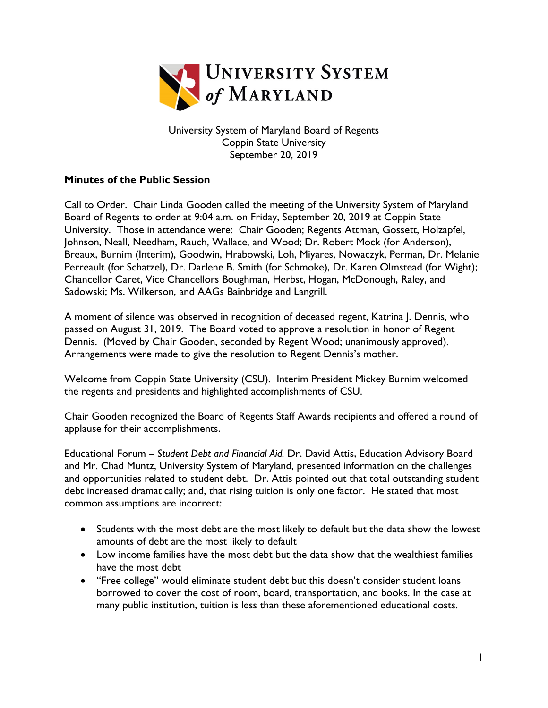

University System of Maryland Board of Regents Coppin State University September 20, 2019

## **Minutes of the Public Session**

Call to Order. Chair Linda Gooden called the meeting of the University System of Maryland Board of Regents to order at 9:04 a.m. on Friday, September 20, 2019 at Coppin State University. Those in attendance were: Chair Gooden; Regents Attman, Gossett, Holzapfel, Johnson, Neall, Needham, Rauch, Wallace, and Wood; Dr. Robert Mock (for Anderson), Breaux, Burnim (Interim), Goodwin, Hrabowski, Loh, Miyares, Nowaczyk, Perman, Dr. Melanie Perreault (for Schatzel), Dr. Darlene B. Smith (for Schmoke), Dr. Karen Olmstead (for Wight); Chancellor Caret, Vice Chancellors Boughman, Herbst, Hogan, McDonough, Raley, and Sadowski; Ms. Wilkerson, and AAGs Bainbridge and Langrill.

A moment of silence was observed in recognition of deceased regent, Katrina J. Dennis, who passed on August 31, 2019. The Board voted to approve a resolution in honor of Regent Dennis. (Moved by Chair Gooden, seconded by Regent Wood; unanimously approved). Arrangements were made to give the resolution to Regent Dennis's mother.

Welcome from Coppin State University (CSU). Interim President Mickey Burnim welcomed the regents and presidents and highlighted accomplishments of CSU.

Chair Gooden recognized the Board of Regents Staff Awards recipients and offered a round of applause for their accomplishments.

Educational Forum – *Student Debt and Financial Aid.* Dr. David Attis, Education Advisory Board and Mr. Chad Muntz, University System of Maryland, presented information on the challenges and opportunities related to student debt. Dr. Attis pointed out that total outstanding student debt increased dramatically; and, that rising tuition is only one factor. He stated that most common assumptions are incorrect:

- Students with the most debt are the most likely to default but the data show the lowest amounts of debt are the most likely to default
- Low income families have the most debt but the data show that the wealthiest families have the most debt
- "Free college" would eliminate student debt but this doesn't consider student loans borrowed to cover the cost of room, board, transportation, and books. In the case at many public institution, tuition is less than these aforementioned educational costs.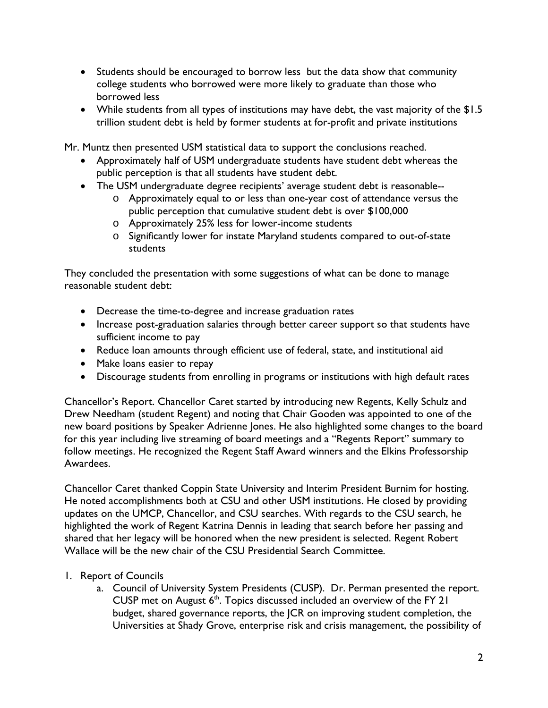- Students should be encouraged to borrow less but the data show that community college students who borrowed were more likely to graduate than those who borrowed less
- While students from all types of institutions may have debt, the vast majority of the \$1.5 trillion student debt is held by former students at for-profit and private institutions

Mr. Muntz then presented USM statistical data to support the conclusions reached.

- Approximately half of USM undergraduate students have student debt whereas the public perception is that all students have student debt.
- The USM undergraduate degree recipients' average student debt is reasonable-
	- o Approximately equal to or less than one-year cost of attendance versus the public perception that cumulative student debt is over \$100,000
	- o Approximately 25% less for lower-income students
	- o Significantly lower for instate Maryland students compared to out-of-state students

They concluded the presentation with some suggestions of what can be done to manage reasonable student debt:

- Decrease the time-to-degree and increase graduation rates
- Increase post-graduation salaries through better career support so that students have sufficient income to pay
- Reduce loan amounts through efficient use of federal, state, and institutional aid
- Make loans easier to repay
- Discourage students from enrolling in programs or institutions with high default rates

Chancellor's Report. Chancellor Caret started by introducing new Regents, Kelly Schulz and Drew Needham (student Regent) and noting that Chair Gooden was appointed to one of the new board positions by Speaker Adrienne Jones. He also highlighted some changes to the board for this year including live streaming of board meetings and a "Regents Report" summary to follow meetings. He recognized the Regent Staff Award winners and the Elkins Professorship Awardees.

Chancellor Caret thanked Coppin State University and Interim President Burnim for hosting. He noted accomplishments both at CSU and other USM institutions. He closed by providing updates on the UMCP, Chancellor, and CSU searches. With regards to the CSU search, he highlighted the work of Regent Katrina Dennis in leading that search before her passing and shared that her legacy will be honored when the new president is selected. Regent Robert Wallace will be the new chair of the CSU Presidential Search Committee.

## 1. Report of Councils

a. Council of University System Presidents (CUSP). Dr. Perman presented the report. CUSP met on August  $6<sup>th</sup>$ . Topics discussed included an overview of the FY 21 budget, shared governance reports, the JCR on improving student completion, the Universities at Shady Grove, enterprise risk and crisis management, the possibility of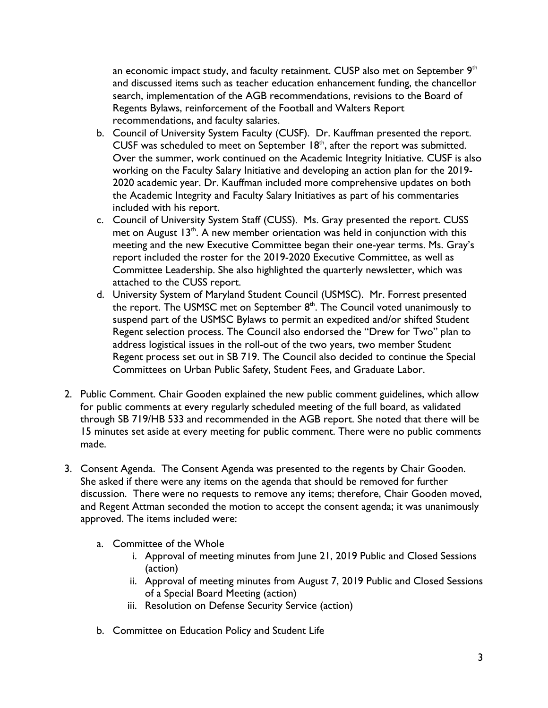an economic impact study, and faculty retainment. CUSP also met on September  $9<sup>th</sup>$ and discussed items such as teacher education enhancement funding, the chancellor search, implementation of the AGB recommendations, revisions to the Board of Regents Bylaws, reinforcement of the Football and Walters Report recommendations, and faculty salaries.

- b. Council of University System Faculty (CUSF). Dr. Kauffman presented the report. CUSF was scheduled to meet on September  $18<sup>th</sup>$ , after the report was submitted. Over the summer, work continued on the Academic Integrity Initiative. CUSF is also working on the Faculty Salary Initiative and developing an action plan for the 2019- 2020 academic year. Dr. Kauffman included more comprehensive updates on both the Academic Integrity and Faculty Salary Initiatives as part of his commentaries included with his report.
- c. Council of University System Staff (CUSS). Ms. Gray presented the report. CUSS met on August  $13<sup>th</sup>$ . A new member orientation was held in conjunction with this meeting and the new Executive Committee began their one-year terms. Ms. Gray's report included the roster for the 2019-2020 Executive Committee, as well as Committee Leadership. She also highlighted the quarterly newsletter, which was attached to the CUSS report.
- d. University System of Maryland Student Council (USMSC). Mr. Forrest presented the report. The USMSC met on September  $8<sup>th</sup>$ . The Council voted unanimously to suspend part of the USMSC Bylaws to permit an expedited and/or shifted Student Regent selection process. The Council also endorsed the "Drew for Two" plan to address logistical issues in the roll-out of the two years, two member Student Regent process set out in SB 719. The Council also decided to continue the Special Committees on Urban Public Safety, Student Fees, and Graduate Labor.
- 2. Public Comment. Chair Gooden explained the new public comment guidelines, which allow for public comments at every regularly scheduled meeting of the full board, as validated through SB 719/HB 533 and recommended in the AGB report. She noted that there will be 15 minutes set aside at every meeting for public comment. There were no public comments made.
- 3. Consent Agenda. The Consent Agenda was presented to the regents by Chair Gooden. She asked if there were any items on the agenda that should be removed for further discussion. There were no requests to remove any items; therefore, Chair Gooden moved, and Regent Attman seconded the motion to accept the consent agenda; it was unanimously approved. The items included were:
	- a. Committee of the Whole
		- i. Approval of meeting minutes from June 21, 2019 Public and Closed Sessions (action)
		- ii. Approval of meeting minutes from August 7, 2019 Public and Closed Sessions of a Special Board Meeting (action)
		- iii. Resolution on Defense Security Service (action)
	- b. Committee on Education Policy and Student Life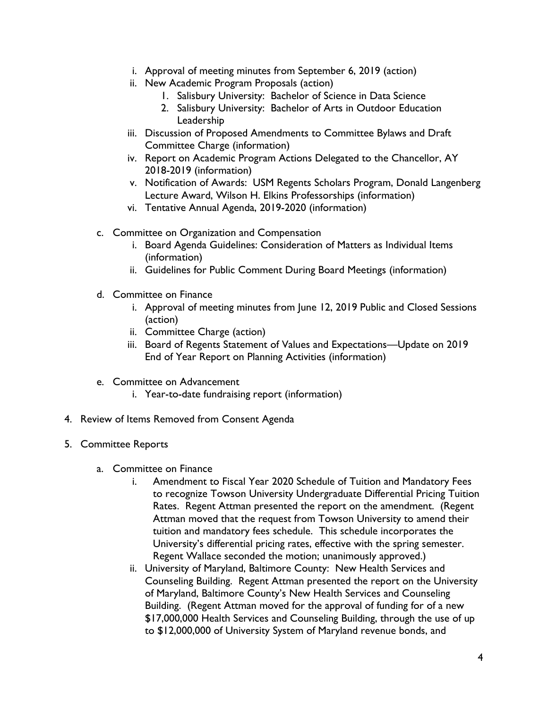- i. Approval of meeting minutes from September 6, 2019 (action)
- ii. New Academic Program Proposals (action)
	- 1. Salisbury University: Bachelor of Science in Data Science
	- 2. Salisbury University: Bachelor of Arts in Outdoor Education Leadership
- iii. Discussion of Proposed Amendments to Committee Bylaws and Draft Committee Charge (information)
- iv. Report on Academic Program Actions Delegated to the Chancellor, AY 2018-2019 (information)
- v. Notification of Awards: USM Regents Scholars Program, Donald Langenberg Lecture Award, Wilson H. Elkins Professorships (information)
- vi. Tentative Annual Agenda, 2019-2020 (information)
- c. Committee on Organization and Compensation
	- i. Board Agenda Guidelines: Consideration of Matters as Individual Items (information)
	- ii. Guidelines for Public Comment During Board Meetings (information)
- d. Committee on Finance
	- i. Approval of meeting minutes from June 12, 2019 Public and Closed Sessions (action)
	- ii. Committee Charge (action)
	- iii. Board of Regents Statement of Values and Expectations—Update on 2019 End of Year Report on Planning Activities (information)
- e. Committee on Advancement
	- i. Year-to-date fundraising report (information)
- 4. Review of Items Removed from Consent Agenda
- 5. Committee Reports
	- a. Committee on Finance
		- i. Amendment to Fiscal Year 2020 Schedule of Tuition and Mandatory Fees to recognize Towson University Undergraduate Differential Pricing Tuition Rates. Regent Attman presented the report on the amendment. (Regent Attman moved that the request from Towson University to amend their tuition and mandatory fees schedule. This schedule incorporates the University's differential pricing rates, effective with the spring semester. Regent Wallace seconded the motion; unanimously approved.)
		- ii. University of Maryland, Baltimore County: New Health Services and Counseling Building. Regent Attman presented the report on the University of Maryland, Baltimore County's New Health Services and Counseling Building. (Regent Attman moved for the approval of funding for of a new \$17,000,000 Health Services and Counseling Building, through the use of up to \$12,000,000 of University System of Maryland revenue bonds, and